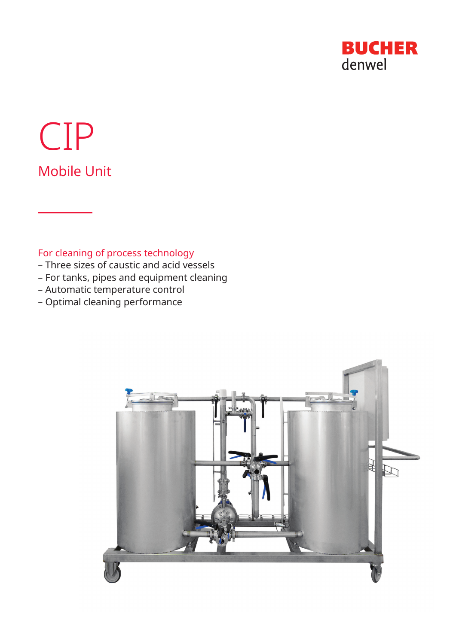

# CIP Mobile Unit

## For cleaning of process technology

- Three sizes of caustic and acid vessels
- For tanks, pipes and equipment cleaning
- Automatic temperature control
- Optimal cleaning performance